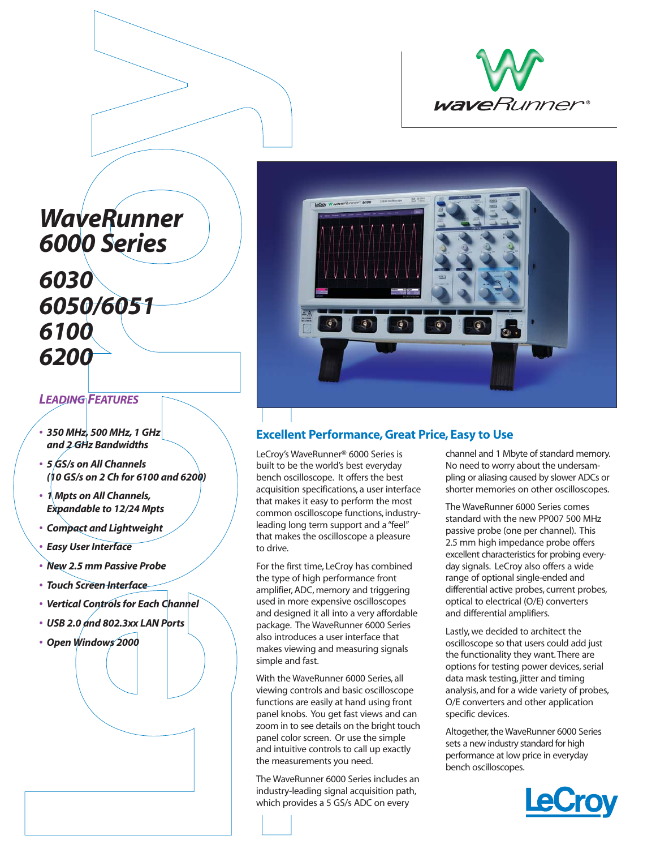

# *WaveRunner 6000 Series*

# *6030 6050/6051 6100 6200*

## *LEADING FEATURES*

- *350 MHz, 500 MHz, 1 GHz and 2 GHz Bandwidths*
- *5 GS/s on All Channels (10 GS/s on 2 Ch for 6100 and 6200)*
- *1 Mpts on All Channels, Expandable to 12/24 Mpts*
- *Compact and Lightweight*
- *Easy User Interface*
- *New 2.5 mm Passive Probe*
- *Touch Screen Interface*
- *Vertical Controls for Each Channel*
- *USB 2.0 and 802.3xx LAN Ports*
- *Open Windows 2000*



## **Excellent Performance, Great Price, Easy to Use**

LeCroy's WaveRunner® 6000 Series is built to be the world's best everyday bench oscilloscope. It offers the best acquisition specifications, a user interface that makes it easy to perform the most common oscilloscope functions, industryleading long term support and a "feel" that makes the oscilloscope a pleasure to drive.

For the first time, LeCroy has combined the type of high performance front amplifier, ADC, memory and triggering used in more expensive oscilloscopes and designed it all into a very affordable package. The WaveRunner 6000 Series also introduces a user interface that makes viewing and measuring signals simple and fast.

With the WaveRunner 6000 Series, all viewing controls and basic oscilloscope functions are easily at hand using front panel knobs. You get fast views and can zoom in to see details on the bright touch panel color screen. Or use the simple and intuitive controls to call up exactly the measurements you need.

The WaveRunner 6000 Series includes an industry-leading signal acquisition path, which provides a 5 GS/s ADC on every

channel and 1 Mbyte of standard memory. No need to worry about the undersampling or aliasing caused by slower ADCs or shorter memories on other oscilloscopes.

The WaveRunner 6000 Series comes standard with the new PP007 500 MHz passive probe (one per channel). This 2.5 mm high impedance probe offers excellent characteristics for probing everyday signals. LeCroy also offers a wide range of optional single-ended and differential active probes, current probes, optical to electrical (O/E) converters and differential amplifiers.

Lastly, we decided to architect the oscilloscope so that users could add just the functionality they want.There are options for testing power devices, serial data mask testing, jitter and timing analysis, and for a wide variety of probes, O/E converters and other application specific devices.

Altogether, the WaveRunner 6000 Series sets a new industry standard for high performance at low price in everyday bench oscilloscopes.

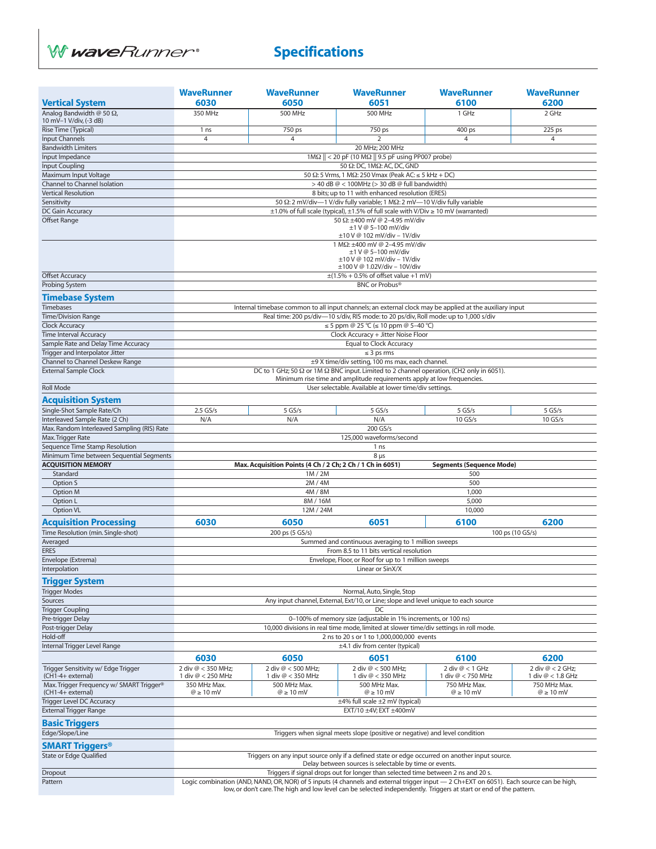

## **Specifications**

|                                                                  | <b>WaveRunner</b>                                                                                                                                                                                                            | <b>WaveRunner</b>                                                   | <b>WaveRunner</b>                                                                                                                                                                | <b>WaveRunner</b>                      | <b>WaveRunner</b>   |  |  |
|------------------------------------------------------------------|------------------------------------------------------------------------------------------------------------------------------------------------------------------------------------------------------------------------------|---------------------------------------------------------------------|----------------------------------------------------------------------------------------------------------------------------------------------------------------------------------|----------------------------------------|---------------------|--|--|
| <b>Vertical System</b>                                           | 6030                                                                                                                                                                                                                         | 6050                                                                | 6051                                                                                                                                                                             | 6100                                   | 6200                |  |  |
| Analog Bandwidth @ 50 $\Omega$ ,<br>10 mV-1 V/div, (-3 dB)       | 350 MHz                                                                                                                                                                                                                      | 500 MHz                                                             | 500 MHz                                                                                                                                                                          | 1 GHz                                  | 2 GHz               |  |  |
| Rise Time (Typical)                                              | 1 <sub>ns</sub>                                                                                                                                                                                                              | 750 ps                                                              | 750 ps                                                                                                                                                                           | 400 ps                                 | 225 ps              |  |  |
| Input Channels                                                   | 4                                                                                                                                                                                                                            | $\overline{4}$                                                      | $\overline{2}$                                                                                                                                                                   | $\overline{4}$                         | $\overline{4}$      |  |  |
| <b>Bandwidth Limiters</b>                                        |                                                                                                                                                                                                                              |                                                                     | 20 MHz; 200 MHz                                                                                                                                                                  |                                        |                     |  |  |
| Input Impedance                                                  |                                                                                                                                                                                                                              |                                                                     | $1\text{M}\Omega$    < 20 pF (10 M $\Omega$    9.5 pF using PP007 probe)                                                                                                         |                                        |                     |  |  |
| Input Coupling<br>Maximum Input Voltage                          |                                                                                                                                                                                                                              |                                                                     | 50 Ω: DC, 1 MΩ: AC, DC, GND<br>50 $\Omega$ : 5 Vrms, 1 M $\Omega$ : 250 Vmax (Peak AC: $\leq$ 5 kHz + DC)                                                                        |                                        |                     |  |  |
| Channel to Channel Isolation                                     |                                                                                                                                                                                                                              |                                                                     | > 40 dB @ < 100MHz (> 30 dB @ full bandwidth)                                                                                                                                    |                                        |                     |  |  |
| <b>Vertical Resolution</b>                                       |                                                                                                                                                                                                                              |                                                                     | 8 bits; up to 11 with enhanced resolution (ERES)                                                                                                                                 |                                        |                     |  |  |
| Sensitivity                                                      |                                                                                                                                                                                                                              |                                                                     | 50 Ω: 2 mV/div-1 V/div fully variable; 1 MΩ: 2 mV-10 V/div fully variable                                                                                                        |                                        |                     |  |  |
| DC Gain Accuracy                                                 |                                                                                                                                                                                                                              |                                                                     | $\pm 1.0$ % of full scale (typical), $\pm 1.5$ % of full scale with V/Div $\geq 10$ mV (warranted)                                                                               |                                        |                     |  |  |
| <b>Offset Range</b>                                              | 50 Ω: ±400 mV @ 2-4.95 mV/div<br>±1 V @ 5-100 mV/div<br>±10 V @ 102 mV/div - 1V/div                                                                                                                                          |                                                                     |                                                                                                                                                                                  |                                        |                     |  |  |
|                                                                  | 1 MΩ: ±400 mV @ 2-4.95 mV/div<br>$±1$ V @ 5-100 mV/div<br>±10 V @ 102 mV/div - 1V/div<br>$\pm 100$ V @ 1.02V/div - 10V/div                                                                                                   |                                                                     |                                                                                                                                                                                  |                                        |                     |  |  |
| <b>Offset Accuracy</b>                                           |                                                                                                                                                                                                                              |                                                                     | $\pm$ (1.5% + 0.5% of offset value +1 mV)                                                                                                                                        |                                        |                     |  |  |
| Probing System                                                   |                                                                                                                                                                                                                              |                                                                     | <b>BNC or Probus®</b>                                                                                                                                                            |                                        |                     |  |  |
| <b>Timebase System</b>                                           |                                                                                                                                                                                                                              |                                                                     |                                                                                                                                                                                  |                                        |                     |  |  |
| Timebases                                                        |                                                                                                                                                                                                                              |                                                                     | Internal timebase common to all input channels; an external clock may be applied at the auxiliary input                                                                          |                                        |                     |  |  |
| <b>Time/Division Range</b>                                       |                                                                                                                                                                                                                              |                                                                     | Real time: 200 ps/div-10 s/div, RIS mode: to 20 ps/div, Roll mode: up to 1,000 s/div                                                                                             |                                        |                     |  |  |
| <b>Clock Accuracy</b><br><b>Time Interval Accuracy</b>           | $\leq$ 5 ppm @ 25 °C ( $\leq$ 10 ppm @ 5–40 °C)                                                                                                                                                                              |                                                                     |                                                                                                                                                                                  |                                        |                     |  |  |
| Sample Rate and Delay Time Accuracy                              | Clock Accuracy + Jitter Noise Floor<br>Equal to Clock Accuracy                                                                                                                                                               |                                                                     |                                                                                                                                                                                  |                                        |                     |  |  |
| Trigger and Interpolator Jitter                                  |                                                                                                                                                                                                                              | $\leq$ 3 ps rms                                                     |                                                                                                                                                                                  |                                        |                     |  |  |
| Channel to Channel Deskew Range                                  |                                                                                                                                                                                                                              |                                                                     | ±9 X time/div setting, 100 ms max, each channel.                                                                                                                                 |                                        |                     |  |  |
| <b>External Sample Clock</b>                                     |                                                                                                                                                                                                                              |                                                                     | DC to 1 GHz; 50 $\Omega$ or 1M $\Omega$ BNC input. Limited to 2 channel operation, (CH2 only in 6051).<br>Minimum rise time and amplitude requirements apply at low frequencies. |                                        |                     |  |  |
| <b>Roll Mode</b>                                                 |                                                                                                                                                                                                                              |                                                                     | User selectable. Available at lower time/div settings.                                                                                                                           |                                        |                     |  |  |
| <b>Acquisition System</b>                                        |                                                                                                                                                                                                                              |                                                                     |                                                                                                                                                                                  |                                        |                     |  |  |
| Single-Shot Sample Rate/Ch                                       | $2.5$ GS/s                                                                                                                                                                                                                   | $5$ GS/s                                                            | 5 GS/s                                                                                                                                                                           | 5 GS/s                                 | $5$ GS/s            |  |  |
| Interleaved Sample Rate (2 Ch)                                   | N/A                                                                                                                                                                                                                          | N/A                                                                 | N/A                                                                                                                                                                              | 10 GS/s                                | 10 GS/s             |  |  |
| Max. Random Interleaved Sampling (RIS) Rate<br>Max. Trigger Rate |                                                                                                                                                                                                                              |                                                                     | 200 GS/s<br>125,000 waveforms/second                                                                                                                                             |                                        |                     |  |  |
| Sequence Time Stamp Resolution                                   |                                                                                                                                                                                                                              |                                                                     | 1 <sub>ns</sub>                                                                                                                                                                  |                                        |                     |  |  |
| Minimum Time between Sequential Segments                         |                                                                                                                                                                                                                              |                                                                     | 8 <sub>µs</sub>                                                                                                                                                                  |                                        |                     |  |  |
| <b>ACQUISITION MEMORY</b><br>Standard                            |                                                                                                                                                                                                                              | Max. Acquisition Points (4 Ch / 2 Ch; 2 Ch / 1 Ch in 6051)<br>1M/2M |                                                                                                                                                                                  | <b>Segments (Sequence Mode)</b><br>500 |                     |  |  |
| Option S                                                         |                                                                                                                                                                                                                              | 2M/4M                                                               |                                                                                                                                                                                  | 500                                    |                     |  |  |
| Option M                                                         |                                                                                                                                                                                                                              | 4M / 8M                                                             |                                                                                                                                                                                  | 1,000                                  |                     |  |  |
| Option L                                                         |                                                                                                                                                                                                                              | 8M / 16M                                                            |                                                                                                                                                                                  | 5,000                                  |                     |  |  |
| Option VL                                                        |                                                                                                                                                                                                                              | 12M / 24M                                                           |                                                                                                                                                                                  | 10,000                                 |                     |  |  |
| <b>Acquisition Processing</b>                                    | 6030                                                                                                                                                                                                                         | 6050                                                                | 6051                                                                                                                                                                             | 6100                                   | 6200                |  |  |
| Time Resolution (min. Single-shot)                               |                                                                                                                                                                                                                              | 200 ps (5 GS/s)                                                     |                                                                                                                                                                                  |                                        | 100 ps (10 GS/s)    |  |  |
| Averaged                                                         |                                                                                                                                                                                                                              |                                                                     | Summed and continuous averaging to 1 million sweeps                                                                                                                              |                                        |                     |  |  |
| <b>ERES</b>                                                      |                                                                                                                                                                                                                              |                                                                     | From 8.5 to 11 bits vertical resolution                                                                                                                                          |                                        |                     |  |  |
| Envelope (Extrema)                                               | Envelope, Floor, or Roof for up to 1 million sweeps                                                                                                                                                                          |                                                                     |                                                                                                                                                                                  |                                        |                     |  |  |
| Interpolation                                                    |                                                                                                                                                                                                                              |                                                                     | Linear or SinX/X                                                                                                                                                                 |                                        |                     |  |  |
| <b>Trigger System</b>                                            |                                                                                                                                                                                                                              |                                                                     |                                                                                                                                                                                  |                                        |                     |  |  |
| <b>Trigger Modes</b>                                             | Normal, Auto, Single, Stop                                                                                                                                                                                                   |                                                                     |                                                                                                                                                                                  |                                        |                     |  |  |
| Sources                                                          | Any input channel, External, Ext/10, or Line; slope and level unique to each source                                                                                                                                          |                                                                     |                                                                                                                                                                                  |                                        |                     |  |  |
| <b>Trigger Coupling</b><br>Pre-trigger Delay                     |                                                                                                                                                                                                                              |                                                                     | DC                                                                                                                                                                               |                                        |                     |  |  |
| Post-trigger Delay                                               | 0-100% of memory size (adjustable in 1% increments, or 100 ns)<br>10,000 divisions in real time mode, limited at slower time/div settings in roll mode.                                                                      |                                                                     |                                                                                                                                                                                  |                                        |                     |  |  |
| Hold-off                                                         | 2 ns to 20 s or 1 to 1,000,000,000 events                                                                                                                                                                                    |                                                                     |                                                                                                                                                                                  |                                        |                     |  |  |
| Internal Trigger Level Range                                     | $\pm$ 4.1 div from center (typical)                                                                                                                                                                                          |                                                                     |                                                                                                                                                                                  |                                        |                     |  |  |
|                                                                  | 6030                                                                                                                                                                                                                         | 6050                                                                | 6051                                                                                                                                                                             | 6100                                   | 6200                |  |  |
| Trigger Sensitivity w/ Edge Trigger                              | 2 div @ < 350 MHz;                                                                                                                                                                                                           | 2 div @ < 500 MHz:                                                  | 2 div @ < 500 MHz;                                                                                                                                                               | 2 div $@ < 1$ GHz                      | 2 div @ < 2 GHz;    |  |  |
| (CH1-4+ external)                                                | 1 div @ < 250 MHz                                                                                                                                                                                                            | 1 div @ < 350 MHz                                                   | 1 div @ < 350 MHz                                                                                                                                                                | 1 div @ < 750 MHz                      | 1 div @ < 1.8 GHz   |  |  |
| Max. Trigger Frequency w/ SMART Trigger <sup>®</sup>             | 350 MHz Max.                                                                                                                                                                                                                 | 500 MHz Max.                                                        | 500 MHz Max.                                                                                                                                                                     | 750 MHz Max.                           | 750 MHz Max.        |  |  |
| (CH1-4+ external)<br>Trigger Level DC Accuracy                   | $@>10$ mV                                                                                                                                                                                                                    | $@>10$ mV                                                           | $@>10$ mV<br>±4% full scale ±2 mV (typical)                                                                                                                                      | $\omega \geq 10$ mV                    | $\omega \geq 10$ mV |  |  |
| <b>External Trigger Range</b>                                    |                                                                                                                                                                                                                              |                                                                     | EXT/10 ±4V; EXT ±400mV                                                                                                                                                           |                                        |                     |  |  |
|                                                                  |                                                                                                                                                                                                                              |                                                                     |                                                                                                                                                                                  |                                        |                     |  |  |
| <b>Basic Triggers</b><br>Edge/Slope/Line                         |                                                                                                                                                                                                                              |                                                                     | Triggers when signal meets slope (positive or negative) and level condition                                                                                                      |                                        |                     |  |  |
| <b>SMART Triggers<sup>®</sup></b>                                |                                                                                                                                                                                                                              |                                                                     |                                                                                                                                                                                  |                                        |                     |  |  |
| State or Edge Qualified                                          |                                                                                                                                                                                                                              |                                                                     | Triggers on any input source only if a defined state or edge occurred on another input source.                                                                                   |                                        |                     |  |  |
|                                                                  | Delay between sources is selectable by time or events.                                                                                                                                                                       |                                                                     |                                                                                                                                                                                  |                                        |                     |  |  |
| Dropout                                                          | Triggers if signal drops out for longer than selected time between 2 ns and 20 s.<br>Logic combination (AND, NAND, OR, NOR) of 5 inputs (4 channels and external trigger input - 2 Ch+EXT on 6051). Each source can be high, |                                                                     |                                                                                                                                                                                  |                                        |                     |  |  |
| Pattern                                                          |                                                                                                                                                                                                                              |                                                                     | low, or don't care. The high and low level can be selected independently. Triggers at start or end of the pattern.                                                               |                                        |                     |  |  |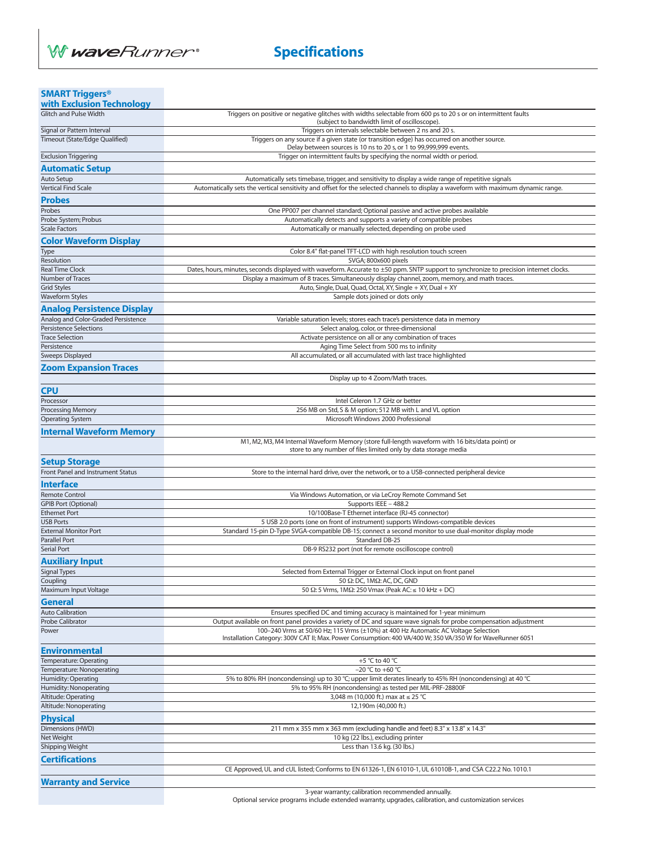

| <b>SMART Triggers®</b>                                                   |                                                                                                                                                                                                  |
|--------------------------------------------------------------------------|--------------------------------------------------------------------------------------------------------------------------------------------------------------------------------------------------|
| with Exclusion Technology<br><b>Glitch and Pulse Width</b>               | Triggers on positive or negative glitches with widths selectable from 600 ps to 20 s or on intermittent faults                                                                                   |
|                                                                          | (subject to bandwidth limit of oscilloscope).                                                                                                                                                    |
| Signal or Pattern Interval                                               | Triggers on intervals selectable between 2 ns and 20 s.                                                                                                                                          |
| Timeout (State/Edge Qualified)                                           | Triggers on any source if a given state (or transition edge) has occurred on another source.<br>Delay between sources is 10 ns to 20 s, or 1 to 99,999,999 events.                               |
| <b>Exclusion Triggering</b>                                              | Trigger on intermittent faults by specifying the normal width or period.                                                                                                                         |
| <b>Automatic Setup</b>                                                   |                                                                                                                                                                                                  |
| Auto Setup                                                               | Automatically sets timebase, trigger, and sensitivity to display a wide range of repetitive signals                                                                                              |
| <b>Vertical Find Scale</b>                                               | Automatically sets the vertical sensitivity and offset for the selected channels to display a waveform with maximum dynamic range.                                                               |
| <b>Probes</b>                                                            |                                                                                                                                                                                                  |
| Probes                                                                   | One PP007 per channel standard; Optional passive and active probes available                                                                                                                     |
| Probe System; Probus<br><b>Scale Factors</b>                             | Automatically detects and supports a variety of compatible probes<br>Automatically or manually selected, depending on probe used                                                                 |
|                                                                          |                                                                                                                                                                                                  |
| <b>Color Waveform Display</b><br>Type                                    | Color 8.4" flat-panel TFT-LCD with high resolution touch screen                                                                                                                                  |
| Resolution                                                               | SVGA; 800x600 pixels                                                                                                                                                                             |
| <b>Real Time Clock</b>                                                   | Dates, hours, minutes, seconds displayed with waveform. Accurate to ±50 ppm. SNTP support to synchronize to precision internet clocks.                                                           |
| Number of Traces                                                         | Display a maximum of 8 traces. Simultaneously display channel, zoom, memory, and math traces.                                                                                                    |
| <b>Grid Styles</b><br><b>Waveform Styles</b>                             | Auto, Single, Dual, Quad, Octal, XY, Single + XY, Dual + XY<br>Sample dots joined or dots only                                                                                                   |
|                                                                          |                                                                                                                                                                                                  |
| <b>Analog Persistence Display</b><br>Analog and Color-Graded Persistence | Variable saturation levels; stores each trace's persistence data in memory                                                                                                                       |
| <b>Persistence Selections</b>                                            | Select analog, color, or three-dimensional                                                                                                                                                       |
| <b>Trace Selection</b>                                                   | Activate persistence on all or any combination of traces                                                                                                                                         |
| Persistence                                                              | Aging Time Select from 500 ms to infinity                                                                                                                                                        |
| Sweeps Displayed                                                         | All accumulated, or all accumulated with last trace highlighted                                                                                                                                  |
| <b>Zoom Expansion Traces</b>                                             |                                                                                                                                                                                                  |
|                                                                          | Display up to 4 Zoom/Math traces.                                                                                                                                                                |
| <b>CPU</b>                                                               |                                                                                                                                                                                                  |
| Processor<br><b>Processing Memory</b>                                    | Intel Celeron 1.7 GHz or better<br>256 MB on Std, S & M option; 512 MB with L and VL option                                                                                                      |
| <b>Operating System</b>                                                  | Microsoft Windows 2000 Professional                                                                                                                                                              |
| <b>Internal Waveform Memory</b>                                          |                                                                                                                                                                                                  |
|                                                                          | M1, M2, M3, M4 Internal Waveform Memory (store full-length waveform with 16 bits/data point) or                                                                                                  |
|                                                                          | store to any number of files limited only by data storage media                                                                                                                                  |
| Setup Storage                                                            |                                                                                                                                                                                                  |
| <b>Front Panel and Instrument Status</b>                                 | Store to the internal hard drive, over the network, or to a USB-connected peripheral device                                                                                                      |
| <b>Interface</b>                                                         |                                                                                                                                                                                                  |
| <b>Remote Control</b><br><b>GPIB Port (Optional)</b>                     | Via Windows Automation, or via LeCroy Remote Command Set<br>Supports IEEE - 488.2                                                                                                                |
| <b>Ethernet Port</b>                                                     | 10/100Base-T Ethernet interface (RJ-45 connector)                                                                                                                                                |
| <b>USB Ports</b>                                                         | 5 USB 2.0 ports (one on front of instrument) supports Windows-compatible devices                                                                                                                 |
| <b>External Monitor Port</b>                                             | Standard 15-pin D-Type SVGA-compatible DB-15; connect a second monitor to use dual-monitor display mode                                                                                          |
| Parallel Port<br>Serial Port                                             | Standard DB-25<br>DB-9 RS232 port (not for remote oscilloscope control)                                                                                                                          |
|                                                                          |                                                                                                                                                                                                  |
| Auxiliary Input                                                          | Selected from External Trigger or External Clock input on front panel                                                                                                                            |
| Signal Types<br>Coupling                                                 | 50 Ω: DC, 1MΩ: AC, DC, GND                                                                                                                                                                       |
| Maximum Input Voltage                                                    | 50 $\Omega$ : 5 Vrms, 1M $\Omega$ : 250 Vmax (Peak AC: $\leq$ 10 kHz + DC)                                                                                                                       |
| <b>General</b>                                                           |                                                                                                                                                                                                  |
| <b>Auto Calibration</b>                                                  | Ensures specified DC and timing accuracy is maintained for 1-year minimum                                                                                                                        |
| Probe Calibrator                                                         | Output available on front panel provides a variety of DC and square wave signals for probe compensation adjustment                                                                               |
| Power                                                                    | 100-240 Vrms at 50/60 Hz; 115 Vrms (±10%) at 400 Hz Automatic AC Voltage Selection<br>Installation Category: 300V CAT II; Max. Power Consumption: 400 VA/400 W; 350 VA/350 W for WaveRunner 6051 |
| Environmental                                                            |                                                                                                                                                                                                  |
| Temperature: Operating                                                   | +5 °C to 40 °C                                                                                                                                                                                   |
| Temperature: Nonoperating                                                | $-20$ °C to +60 °C                                                                                                                                                                               |
| Humidity: Operating                                                      | 5% to 80% RH (noncondensing) up to 30 °C; upper limit derates linearly to 45% RH (noncondensing) at 40 °C                                                                                        |
| Humidity: Nonoperating<br>Altitude: Operating                            | 5% to 95% RH (noncondensing) as tested per MIL-PRF-28800F<br>3,048 m (10,000 ft.) max at ≤ 25 °C                                                                                                 |
| Altitude: Nonoperating                                                   | 12,190m (40,000 ft.)                                                                                                                                                                             |
| <b>Physical</b>                                                          |                                                                                                                                                                                                  |
| Dimensions (HWD)                                                         | 211 mm x 355 mm x 363 mm (excluding handle and feet) 8.3" x 13.8" x 14.3"                                                                                                                        |
| Net Weight                                                               | 10 kg (22 lbs.), excluding printer                                                                                                                                                               |
| Shipping Weight                                                          | Less than 13.6 kg. (30 lbs.)                                                                                                                                                                     |
| <b>Certifications</b>                                                    |                                                                                                                                                                                                  |
|                                                                          | CE Approved, UL and cUL listed; Conforms to EN 61326-1, EN 61010-1, UL 61010B-1, and CSA C22.2 No. 1010.1                                                                                        |
| <b>Warranty and Service</b>                                              |                                                                                                                                                                                                  |
|                                                                          | 3-year warranty; calibration recommended annually                                                                                                                                                |

3-year warranty; calibration recommended annually. Optional service programs include extended warranty, upgrades, calibration, and customization services